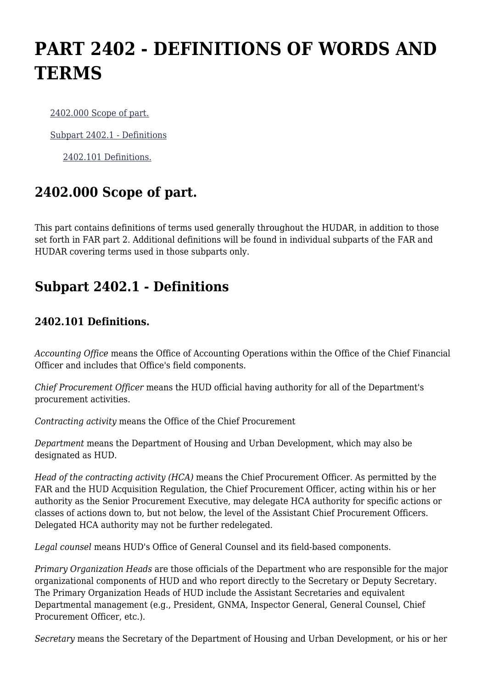## **PART 2402 - DEFINITIONS OF WORDS AND TERMS**

[2402.000 Scope of part.](https://origin-www.acquisition.gov/%5Brp:link:hudar-part-2402%5D#Section_2402_000_T48_609483011)

[Subpart 2402.1 - Definitions](https://origin-www.acquisition.gov/%5Brp:link:hudar-part-2402%5D#Subpart_2402_1_T48_6094831)

[2402.101 Definitions.](https://origin-www.acquisition.gov/%5Brp:link:hudar-part-2402%5D#Section_2402_101_T48_609483111)

## **2402.000 Scope of part.**

This part contains definitions of terms used generally throughout the HUDAR, in addition to those set forth in FAR part 2. Additional definitions will be found in individual subparts of the FAR and HUDAR covering terms used in those subparts only.

## **Subpart 2402.1 - Definitions**

## **2402.101 Definitions.**

*Accounting Office* means the Office of Accounting Operations within the Office of the Chief Financial Officer and includes that Office's field components.

*Chief Procurement Officer* means the HUD official having authority for all of the Department's procurement activities.

*Contracting activity* means the Office of the Chief Procurement

*Department* means the Department of Housing and Urban Development, which may also be designated as HUD.

*Head of the contracting activity (HCA)* means the Chief Procurement Officer. As permitted by the FAR and the HUD Acquisition Regulation, the Chief Procurement Officer, acting within his or her authority as the Senior Procurement Executive, may delegate HCA authority for specific actions or classes of actions down to, but not below, the level of the Assistant Chief Procurement Officers. Delegated HCA authority may not be further redelegated.

*Legal counsel* means HUD's Office of General Counsel and its field-based components.

*Primary Organization Heads* are those officials of the Department who are responsible for the major organizational components of HUD and who report directly to the Secretary or Deputy Secretary. The Primary Organization Heads of HUD include the Assistant Secretaries and equivalent Departmental management (e.g., President, GNMA, Inspector General, General Counsel, Chief Procurement Officer, etc.).

*Secretary* means the Secretary of the Department of Housing and Urban Development, or his or her